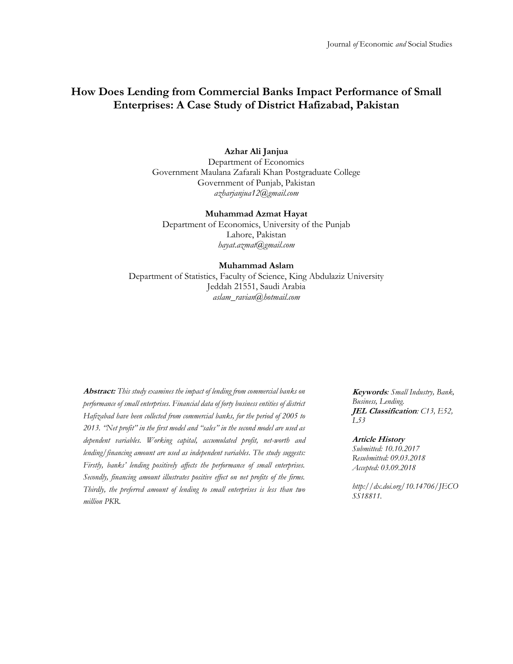# **How Does Lending from Commercial Banks Impact Performance of Small Enterprises: A Case Study of District Hafizabad, Pakistan**

## **Azhar Ali Janjua**

Department of Economics Government Maulana Zafarali Khan Postgraduate College Government of Punjab, Pakistan *[azharjanjua12@gmail.com](mailto:azharjanjua12@gmail.com)*

#### **Muhammad Azmat Hayat**

Department of Economics, University of the Punjab Lahore, Pakistan *[hayat.azmat@gmail.com](mailto:hayat.azmat@gmail.com)*

#### **Muhammad Aslam**

Department of Statistics, Faculty of Science, King Abdulaziz University Jeddah 21551, Saudi Arabia *[aslam\\_ravian@hotmail.com](mailto:aslam_ravian@hotmail.com)*

**Abstract:** *This study examines the impact of lending from commercial banks on performance of small enterprises. Financial data of forty business entities of district Hafizabad have been collected from commercial banks, for the period of 2005 to 2013. "Net profit" in the first model and "sales" in the second model are used as dependent variables. Working capital, accumulated profit, net-worth and lending/financing amount are used as independent variables. The study suggests: Firstly, banks' lending positively affects the performance of small enterprises. Secondly, financing amount illustrates positive effect on net profits of the firms. Thirdly, the preferred amount of lending to small enterprises is less than two million PKR.*

**Keywords***: Small Industry, Bank, Business, Lending.* **JEL Classification***: C13, E52, L53*

#### **Article History**

*Submitted: 10.10.2017 Resubmitted: 09.03.2018 Accepted: 03.09.2018*

*http://dx.doi.org/10.14706/JECO SS18811.*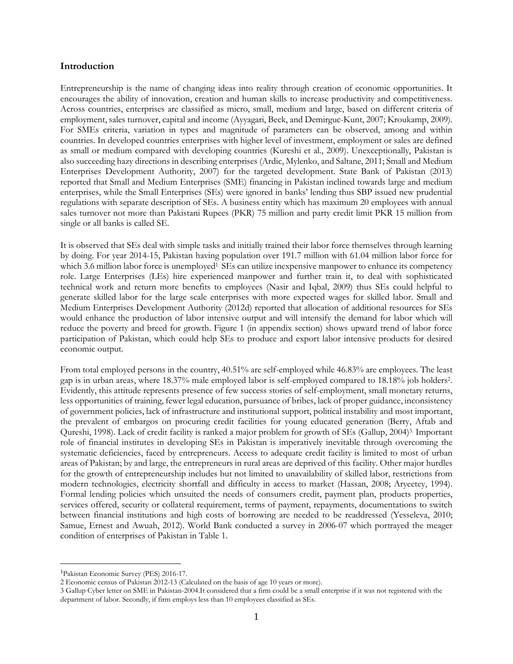#### **Introduction**

Entrepreneurship is the name of changing ideas into reality through creation of economic opportunities. It encourages the ability of innovation, creation and human skills to increase productivity and competitiveness. Across countries, enterprises are classified as micro, small, medium and large, based on different criteria of employment, sales turnover, capital and income (Ayyagari, Beck, and Demirguc-Kunt, 2007; Kroukamp, 2009). For SMEs criteria, variation in types and magnitude of parameters can be observed, among and within countries. In developed countries enterprises with higher level of investment, employment or sales are defined as small or medium compared with developing countries (Kureshi et al., 2009). Unexceptionally, Pakistan is also succeeding hazy directions in describing enterprises (Ardic, Mylenko, and Saltane, 2011; Small and Medium Enterprises Development Authority, 2007) for the targeted development. State Bank of Pakistan (2013) reported that Small and Medium Enterprises (SME) financing in Pakistan inclined towards large and medium enterprises, while the Small Enterprises (SEs) were ignored in banks' lending thus SBP issued new prudential regulations with separate description of SEs. A business entity which has maximum 20 employees with annual sales turnover not more than Pakistani Rupees (PKR) 75 million and party credit limit PKR 15 million from single or all banks is called SE.

It is observed that SEs deal with simple tasks and initially trained their labor force themselves through learning by doing. For year 2014-15, Pakistan having population over 191.7 million with 61.04 million labor force for which 3.6 million labor force is unemployed<sup>1.</sup> SEs can utilize inexpensive manpower to enhance its competency role. Large Enterprises (LEs) hire experienced manpower and further train it, to deal with sophisticated technical work and return more benefits to employees (Nasir and Iqbal, 2009) thus SEs could helpful to generate skilled labor for the large scale enterprises with more expected wages for skilled labor. Small and Medium Enterprises Development Authority (2012d) reported that allocation of additional resources for SEs would enhance the production of labor intensive output and will intensify the demand for labor which will reduce the poverty and breed for growth. Figure 1 (in appendix section) shows upward trend of labor force participation of Pakistan, which could help SEs to produce and export labor intensive products for desired economic output.

From total employed persons in the country, 40.51% are self-employed while 46.83% are employees. The least gap is in urban areas, where 18.37% male employed labor is self-employed compared to 18.18% job holders<sup>2</sup>. Evidently, this attitude represents presence of few success stories of self-employment, small monetary returns, less opportunities of training, fewer legal education, pursuance of bribes, lack of proper guidance, inconsistency of government policies, lack of infrastructure and institutional support, political instability and most important, the prevalent of embargos on procuring credit facilities for young educated generation (Berry, Aftab and Qureshi, 1998). Lack of credit facility is ranked a major problem for growth of SEs (Gallup, 2004)3. Important role of financial institutes in developing SEs in Pakistan is imperatively inevitable through overcoming the systematic deficiencies, faced by entrepreneurs. Access to adequate credit facility is limited to most of urban areas of Pakistan; by and large, the entrepreneurs in rural areas are deprived of this facility. Other major hurdles for the growth of entrepreneurship includes but not limited to unavailability of skilled labor, restrictions from modern technologies, electricity shortfall and difficulty in access to market (Hassan, 2008; Aryeetey, 1994). Formal lending policies which unsuited the needs of consumers credit, payment plan, products properties, services offered, security or collateral requirement, terms of payment, repayments, documentations to switch between financial institutions and high costs of borrowing are needed to be readdressed (Yesseleva, 2010; Samue, Ernest and Awuah, 2012). World Bank conducted a survey in 2006-07 which portrayed the meager condition of enterprises of Pakistan in Table 1.

<sup>1</sup>Pakistan Economic Survey (PES) 2016-17.

<sup>2</sup> Economic census of Pakistan 2012-13 (Calculated on the basis of age 10 years or more).

<sup>3</sup> Gallup Cyber letter on SME in Pakistan-2004.It considered that a firm could be a small enterprise if it was not registered with the department of labor. Secondly, if firm employs less than 10 employees classified as SEs.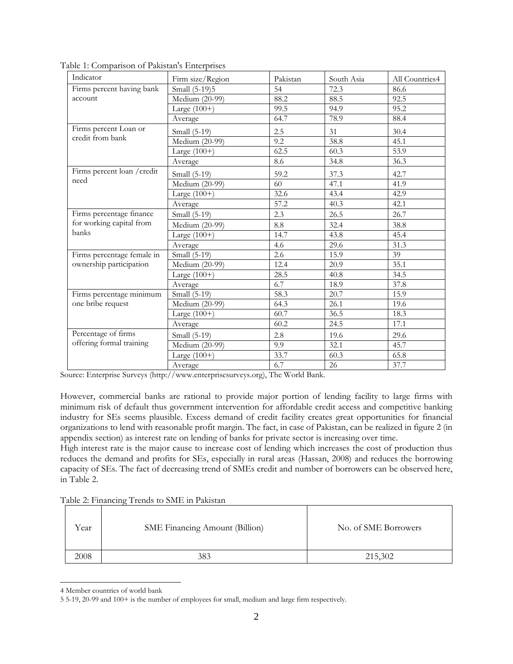| Indicator                   | Firm size/Region                   | Pakistan | South Asia | All Countries4 |
|-----------------------------|------------------------------------|----------|------------|----------------|
| Firms percent having bank   | Small (5-19)5                      | 54       | 72.3       | 86.6           |
| account                     | Medium (20-99)                     | 88.2     | 88.5       | 92.5           |
|                             | Large $(100+)$                     | 99.5     | 94.9       | 95.2           |
|                             | Average                            | 64.7     | 78.9       | 88.4           |
| Firms percent Loan or       | Small (5-19)                       | 2.5      | 31         | 30.4           |
| credit from bank            | $\overline{\text{Median}}$ (20-99) | 9.2      | 38.8       | 45.1           |
|                             | Large $(100+)$                     | 62.5     | 60.3       | 53.9           |
|                             | Average                            | 8.6      | 34.8       | 36.3           |
| Firms percent loan / credit | Small (5-19)                       | 59.2     | 37.3       | 42.7           |
| need                        | Medium (20-99)                     | 60       | 47.1       | 41.9           |
|                             | Large $(100+)$                     | 32.6     | 43.4       | 42.9           |
|                             | Average                            | 57.2     | 40.3       | 42.1           |
| Firms percentage finance    | Small (5-19)                       | 2.3      | 26.5       | 26.7           |
| for working capital from    | Medium (20-99)                     | 8.8      | 32.4       | 38.8           |
| banks                       | Large $(100+)$                     | 14.7     | 43.8       | 45.4           |
|                             | Average                            | 4.6      | 29.6       | 31.3           |
| Firms percentage female in  | Small (5-19)                       | 2.6      | 15.9       | 39             |
| ownership participation     | Medium (20-99)                     | 12.4     | 20.9       | 35.1           |
|                             | Large $(100+)$                     | 28.5     | 40.8       | 34.5           |
|                             | Average                            | 6.7      | 18.9       | 37.8           |
| Firms percentage minimum    | Small (5-19)                       | 58.3     | 20.7       | 15.9           |
| one bribe request           | Medium (20-99)                     | 64.3     | 26.1       | 19.6           |
|                             | Large $(100+)$                     | 60.7     | 36.5       | 18.3           |
|                             | Average                            | 60.2     | 24.5       | 17.1           |
| Percentage of firms         | Small (5-19)                       | 2.8      | 19.6       | 29.6           |
| offering formal training    | Medium (20-99)                     | 9.9      | 32.1       | 45.7           |
|                             | Large $(100+)$                     | 33.7     | 60.3       | 65.8           |
|                             | Average                            | 6.7      | 26         | 37.7           |

Table 1: Comparison of Pakistan's Enterprises

Source: Enterprise Surveys (http://www.enterprisesurveys.org), The World Bank.

However, commercial banks are rational to provide major portion of lending facility to large firms with minimum risk of default thus government intervention for affordable credit access and competitive banking industry for SEs seems plausible. Excess demand of credit facility creates great opportunities for financial organizations to lend with reasonable profit margin. The fact, in case of Pakistan, can be realized in figure 2 (in appendix section) as interest rate on lending of banks for private sector is increasing over time.

High interest rate is the major cause to increase cost of lending which increases the cost of production thus reduces the demand and profits for SEs, especially in rural areas (Hassan, 2008) and reduces the borrowing capacity of SEs. The fact of decreasing trend of SMEs credit and number of borrowers can be observed here, in Table 2.

| Year | SME Financing Amount (Billion) | No. of SME Borrowers |
|------|--------------------------------|----------------------|
| 2008 | 383                            | 215,302              |

4 Member countries of world bank

<sup>5</sup> 5-19, 20-99 and 100+ is the number of employees for small, medium and large firm respectively.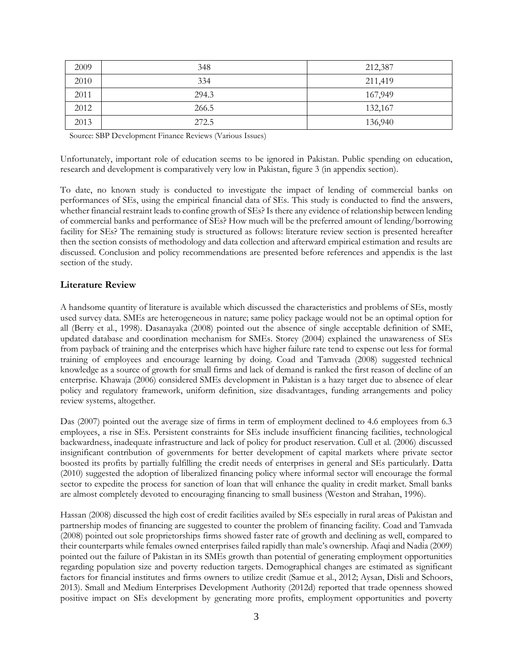| 2009 | 348   | 212,387 |
|------|-------|---------|
| 2010 | 334   | 211,419 |
| 2011 | 294.3 | 167,949 |
| 2012 | 266.5 | 132,167 |
| 2013 | 272.5 | 136,940 |

Source: SBP Development Finance Reviews (Various Issues)

Unfortunately, important role of education seems to be ignored in Pakistan. Public spending on education, research and development is comparatively very low in Pakistan, figure 3 (in appendix section).

To date, no known study is conducted to investigate the impact of lending of commercial banks on performances of SEs, using the empirical financial data of SEs. This study is conducted to find the answers, whether financial restraint leads to confine growth of SEs? Is there any evidence of relationship between lending of commercial banks and performance of SEs? How much will be the preferred amount of lending/borrowing facility for SEs? The remaining study is structured as follows: literature review section is presented hereafter then the section consists of methodology and data collection and afterward empirical estimation and results are discussed. Conclusion and policy recommendations are presented before references and appendix is the last section of the study.

## **Literature Review**

A handsome quantity of literature is available which discussed the characteristics and problems of SEs, mostly used survey data. SMEs are heterogeneous in nature; same policy package would not be an optimal option for all (Berry et al., 1998). Dasanayaka (2008) pointed out the absence of single acceptable definition of SME, updated database and coordination mechanism for SMEs. Storey (2004) explained the unawareness of SEs from payback of training and the enterprises which have higher failure rate tend to expense out less for formal training of employees and encourage learning by doing. Coad and Tamvada (2008) suggested technical knowledge as a source of growth for small firms and lack of demand is ranked the first reason of decline of an enterprise. Khawaja (2006) considered SMEs development in Pakistan is a hazy target due to absence of clear policy and regulatory framework, uniform definition, size disadvantages, funding arrangements and policy review systems, altogether.

Das (2007) pointed out the average size of firms in term of employment declined to 4.6 employees from 6.3 employees, a rise in SEs. Persistent constraints for SEs include insufficient financing facilities, technological backwardness, inadequate infrastructure and lack of policy for product reservation. Cull et al. (2006) discussed insignificant contribution of governments for better development of capital markets where private sector boosted its profits by partially fulfilling the credit needs of enterprises in general and SEs particularly. Datta (2010) suggested the adoption of liberalized financing policy where informal sector will encourage the formal sector to expedite the process for sanction of loan that will enhance the quality in credit market. Small banks are almost completely devoted to encouraging financing to small business (Weston and Strahan, 1996).

Hassan (2008) discussed the high cost of credit facilities availed by SEs especially in rural areas of Pakistan and partnership modes of financing are suggested to counter the problem of financing facility. Coad and Tamvada (2008) pointed out sole proprietorships firms showed faster rate of growth and declining as well, compared to their counterparts while females owned enterprises failed rapidly than male's ownership. Afaqi and Nadia (2009) pointed out the failure of Pakistan in its SMEs growth than potential of generating employment opportunities regarding population size and poverty reduction targets. Demographical changes are estimated as significant factors for financial institutes and firms owners to utilize credit (Samue et al., 2012; Aysan, Disli and Schoors, 2013). Small and Medium Enterprises Development Authority (2012d) reported that trade openness showed positive impact on SEs development by generating more profits, employment opportunities and poverty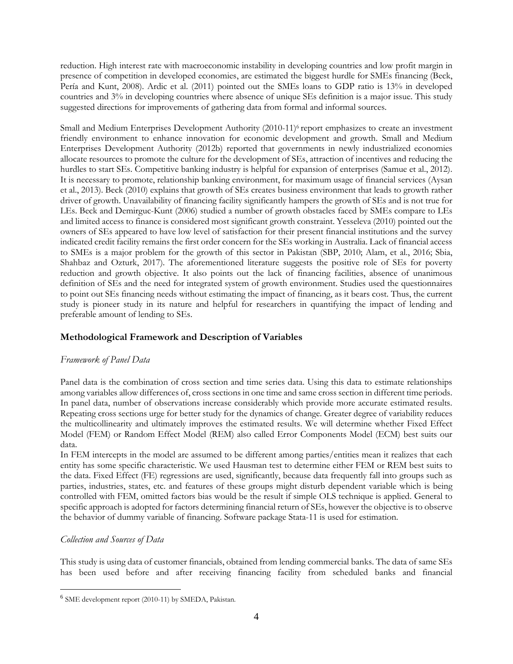reduction. High interest rate with macroeconomic instability in developing countries and low profit margin in presence of competition in developed economies, are estimated the biggest hurdle for SMEs financing (Beck, Pería and Kunt, 2008). Ardic et al. (2011) pointed out the SMEs loans to GDP ratio is 13% in developed countries and 3% in developing countries where absence of unique SEs definition is a major issue. This study suggested directions for improvements of gathering data from formal and informal sources.

Small and Medium Enterprises Development Authority (2010-11)<sup>6</sup> report emphasizes to create an investment friendly environment to enhance innovation for economic development and growth. Small and Medium Enterprises Development Authority (2012b) reported that governments in newly industrialized economies allocate resources to promote the culture for the development of SEs, attraction of incentives and reducing the hurdles to start SEs. Competitive banking industry is helpful for expansion of enterprises (Samue et al., 2012). It is necessary to promote, relationship banking environment, for maximum usage of financial services (Aysan et al., 2013). Beck (2010) explains that growth of SEs creates business environment that leads to growth rather driver of growth. Unavailability of financing facility significantly hampers the growth of SEs and is not true for LEs. Beck and Demirguc-Kunt (2006) studied a number of growth obstacles faced by SMEs compare to LEs and limited access to finance is considered most significant growth constraint. Yesseleva (2010) pointed out the owners of SEs appeared to have low level of satisfaction for their present financial institutions and the survey indicated credit facility remains the first order concern for the SEs working in Australia. Lack of financial access to SMEs is a major problem for the growth of this sector in Pakistan (SBP, 2010; Alam, et al., 2016; Sbia, Shahbaz and Ozturk, 2017). The aforementioned literature suggests the positive role of SEs for poverty reduction and growth objective. It also points out the lack of financing facilities, absence of unanimous definition of SEs and the need for integrated system of growth environment. Studies used the questionnaires to point out SEs financing needs without estimating the impact of financing, as it bears cost. Thus, the current study is pioneer study in its nature and helpful for researchers in quantifying the impact of lending and preferable amount of lending to SEs.

## **Methodological Framework and Description of Variables**

## *Framework of Panel Data*

Panel data is the combination of cross section and time series data. Using this data to estimate relationships among variables allow differences of, cross sections in one time and same cross section in different time periods. In panel data, number of observations increase considerably which provide more accurate estimated results. Repeating cross sections urge for better study for the dynamics of change. Greater degree of variability reduces the multicollinearity and ultimately improves the estimated results. We will determine whether Fixed Effect Model (FEM) or Random Effect Model (REM) also called Error Components Model (ECM) best suits our data.

In FEM intercepts in the model are assumed to be different among parties/entities mean it realizes that each entity has some specific characteristic. We used Hausman test to determine either FEM or REM best suits to the data. Fixed Effect (FE) regressions are used, significantly, because data frequently fall into groups such as parties, industries, states, etc. and features of these groups might disturb dependent variable which is being controlled with FEM, omitted factors bias would be the result if simple OLS technique is applied. General to specific approach is adopted for factors determining financial return of SEs, however the objective is to observe the behavior of dummy variable of financing. Software package Stata-11 is used for estimation.

## *Collection and Sources of Data*

This study is using data of customer financials, obtained from lending commercial banks. The data of same SEs has been used before and after receiving financing facility from scheduled banks and financial

<sup>&</sup>lt;sup>6</sup> SME development report (2010-11) by SMEDA, Pakistan.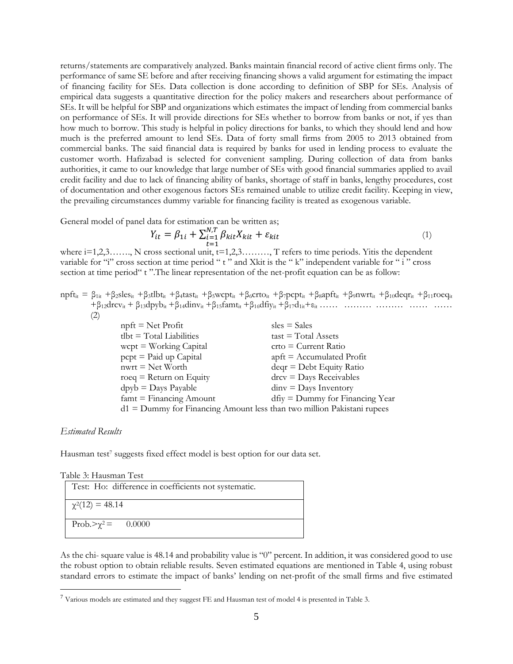returns/statements are comparatively analyzed. Banks maintain financial record of active client firms only. The performance of same SE before and after receiving financing shows a valid argument for estimating the impact of financing facility for SEs. Data collection is done according to definition of SBP for SEs. Analysis of empirical data suggests a quantitative direction for the policy makers and researchers about performance of SEs. It will be helpful for SBP and organizations which estimates the impact of lending from commercial banks on performance of SEs. It will provide directions for SEs whether to borrow from banks or not, if yes than how much to borrow. This study is helpful in policy directions for banks, to which they should lend and how much is the preferred amount to lend SEs. Data of forty small firms from 2005 to 2013 obtained from commercial banks. The said financial data is required by banks for used in lending process to evaluate the customer worth. Hafizabad is selected for convenient sampling. During collection of data from banks authorities, it came to our knowledge that large number of SEs with good financial summaries applied to avail credit facility and due to lack of financing ability of banks, shortage of staff in banks, lengthy procedures, cost of documentation and other exogenous factors SEs remained unable to utilize credit facility. Keeping in view, the prevailing circumstances dummy variable for financing facility is treated as exogenous variable.

General model of panel data for estimation can be written as;

$$
Y_{it} = \beta_{1i} + \sum_{t=1}^{N,T} \beta_{kit} X_{kit} + \varepsilon_{kit}
$$
\n<sup>(1)</sup>

=1 where i=1,2,3……., N cross sectional unit, t=1,2,3………, T refers to time periods. Yitis the dependent variable for "i" cross section at time period " t " and Xkit is the " k" independent variable for " i " cross section at time period "t". The linear representation of the net-profit equation can be as follow:

 $npft_{it} = \beta_{1it} + \beta_{2}sles_{it} + \beta_{3}tlbt_{it} + \beta_{4}tast_{it} + \beta_{5}wcpt_{it} + \beta_{6}crtot_{it} + \beta_{7}pcpt_{it} + \beta_{8}apft_{it} + \beta_{9}nwrt_{it} + \beta_{10}deqr_{it} + \beta_{11}roeq_{it}$  $+\beta_{12}$ drcv<sub>it</sub> +  $\beta_{13}$ dpyb<sub>it</sub> +  $\beta_{14}$ dinv<sub>it</sub> +  $\beta_{15}$ famt<sub>it</sub> +  $\beta_{16}$ dfiy<sub>it</sub> +  $\beta_{17}$ d<sub>1it</sub> +  $\varepsilon_{it}$  …… …… …… …… …… …… (2)

| $sles = Sales$                                                           |
|--------------------------------------------------------------------------|
| $\text{task} = \text{Total Assets}$                                      |
| $ctto = Current Ratio$                                                   |
| $\text{apft} = \text{Accumulated Profit}$                                |
| $deqr = Debt$ Equity Ratio                                               |
| $\text{drcv} = \text{Days}$ Receivables                                  |
| $\text{dim} v = \text{Days}\$ Inventory                                  |
| $df_{iy} =$ Dummy for Financing Year                                     |
| $d1 =$ Dummy for Financing Amount less than two million Pakistani rupees |
|                                                                          |

#### *Estimated Results*

Hausman test<sup>7</sup> suggests fixed effect model is best option for our data set.

|  |  | Table 3: Hausman Test |  |
|--|--|-----------------------|--|
|--|--|-----------------------|--|

| Test: Ho: difference in coefficients not systematic. |
|------------------------------------------------------|
| $\chi^2(12) = 48.14$                                 |
| Prob. $>\chi^2$ = 0.0000                             |

As the chi- square value is 48.14 and probability value is "0" percent. In addition, it was considered good to use the robust option to obtain reliable results. Seven estimated equations are mentioned in Table 4, using robust standard errors to estimate the impact of banks' lending on net-profit of the small firms and five estimated

<sup>7</sup> Various models are estimated and they suggest FE and Hausman test of model 4 is presented in Table 3.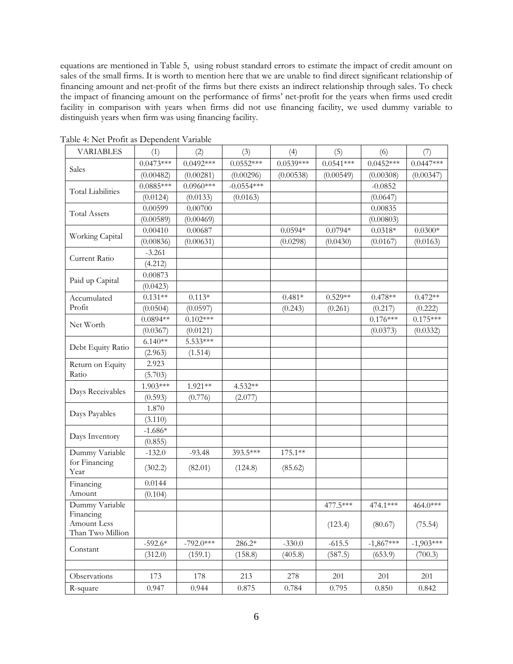equations are mentioned in Table 5, using robust standard errors to estimate the impact of credit amount on sales of the small firms. It is worth to mention here that we are unable to find direct significant relationship of financing amount and net-profit of the firms but there exists an indirect relationship through sales. To check the impact of financing amount on the performance of firms' net-profit for the years when firms used credit facility in comparison with years when firms did not use financing facility, we used dummy variable to distinguish years when firm was using financing facility.

| <b>VARIABLES</b>                             | (1)         | (2)         | (3)          | (4)         | (5)         | (6)         | (7)         |
|----------------------------------------------|-------------|-------------|--------------|-------------|-------------|-------------|-------------|
| Sales                                        | $0.0473***$ | $0.0492***$ | $0.0552***$  | $0.0539***$ | $0.0541***$ | $0.0452***$ | $0.0447***$ |
|                                              | (0.00482)   | (0.00281)   | (0.00296)    | (0.00538)   | (0.00549)   | (0.00308)   | (0.00347)   |
| <b>Total Liabilities</b>                     | $0.0885***$ | $0.0960***$ | $-0.0554***$ |             |             | $-0.0852$   |             |
|                                              | (0.0124)    | (0.0133)    | (0.0163)     |             |             | (0.0647)    |             |
| <b>Total Assets</b>                          | 0.00599     | 0.00700     |              |             |             | 0.00835     |             |
|                                              | (0.00589)   | (0.00469)   |              |             |             | (0.00803)   |             |
|                                              | 0.00410     | 0.00687     |              | $0.0594*$   | $0.0794*$   | $0.0318*$   | $0.0300*$   |
| Working Capital                              | (0.00836)   | (0.00631)   |              | (0.0298)    | (0.0430)    | (0.0167)    | (0.0163)    |
| Current Ratio                                | $-3.261$    |             |              |             |             |             |             |
|                                              | (4.212)     |             |              |             |             |             |             |
|                                              | 0.00873     |             |              |             |             |             |             |
| Paid up Capital                              | (0.0423)    |             |              |             |             |             |             |
| Accumulated                                  | $0.131**$   | $0.113*$    |              | $0.481*$    | $0.529**$   | $0.478**$   | $0.472**$   |
| Profit                                       | (0.0504)    | (0.0597)    |              | (0.243)     | (0.261)     | (0.217)     | (0.222)     |
|                                              | $0.0894**$  | $0.102***$  |              |             |             | $0.176***$  | $0.175***$  |
| Net Worth                                    | (0.0367)    | (0.0121)    |              |             |             | (0.0373)    | (0.0332)    |
|                                              | $6.140**$   | 5.533***    |              |             |             |             |             |
| Debt Equity Ratio                            | (2.963)     | (1.514)     |              |             |             |             |             |
| Return on Equity                             | 2.923       |             |              |             |             |             |             |
| Ratio                                        | (5.703)     |             |              |             |             |             |             |
|                                              | 1.903***    | 1.921 **    | 4.532**      |             |             |             |             |
| Days Receivables                             | (0.593)     | (0.776)     | (2.077)      |             |             |             |             |
|                                              | 1.870       |             |              |             |             |             |             |
| Days Payables                                | (3.110)     |             |              |             |             |             |             |
|                                              | $-1.686*$   |             |              |             |             |             |             |
| Days Inventory                               | (0.855)     |             |              |             |             |             |             |
| Dummy Variable                               | $-132.0$    | $-93.48$    | 393.5***     | 175.1**     |             |             |             |
| for Financing<br>Year                        | (302.2)     | (82.01)     | (124.8)      | (85.62)     |             |             |             |
| Financing                                    | 0.0144      |             |              |             |             |             |             |
| Amount                                       | (0.104)     |             |              |             |             |             |             |
| Dummy Variable                               |             |             |              |             | 477.5***    | 474.1***    | 464.0***    |
| Financing<br>Amount Less<br>Than Two Million |             |             |              |             | (123.4)     | (80.67)     | (75.54)     |
|                                              | $-592.6*$   | $-792.0***$ | 286.2*       | $-330.0$    | $-615.5$    | $-1,867***$ | $-1,903***$ |
| Constant                                     | (312.0)     | (159.1)     | (158.8)      | (405.8)     | (587.5)     | (653.9)     | (700.3)     |
|                                              |             |             |              |             |             |             |             |
| Observations                                 | 173         | 178         | 213          | 278         | 201         | 201         | 201         |
| R-square                                     | 0.947       | 0.944       | 0.875        | 0.784       | 0.795       | 0.850       | 0.842       |

Table 4: Net Profit as Dependent Variable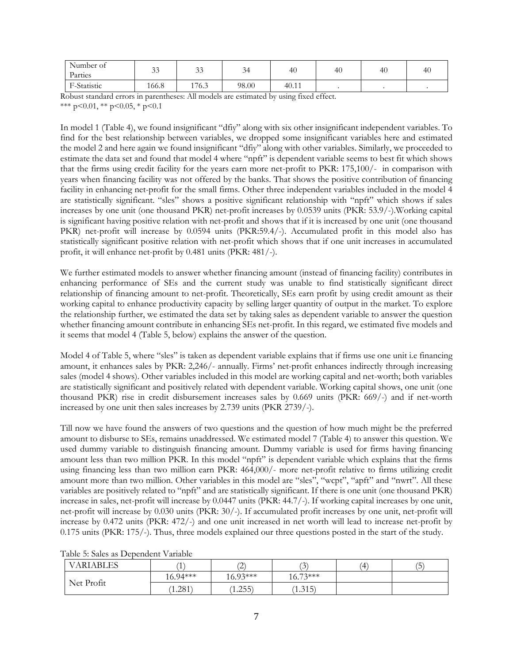| Number of<br>Parties | $\sim$<br>IJ | $\sim$<br>IJ | -<br>⊶<br>◡ | -46   | 40 | 40 | 41 |
|----------------------|--------------|--------------|-------------|-------|----|----|----|
| F-Statistic          | 166.8        | 176.3        | 98.00       | 40.11 |    |    |    |

Robust standard errors in parentheses: All models are estimated by using fixed effect. \*\*\*  $p<0.01$ , \*\*  $p<0.05$ , \*  $p<0.1$ 

In model 1 (Table 4), we found insignificant "dfiy" along with six other insignificant independent variables. To find for the best relationship between variables, we dropped some insignificant variables here and estimated the model 2 and here again we found insignificant "dfiy" along with other variables. Similarly, we proceeded to estimate the data set and found that model 4 where "npft" is dependent variable seems to best fit which shows that the firms using credit facility for the years earn more net-profit to PKR: 175,100/- in comparison with years when financing facility was not offered by the banks. That shows the positive contribution of financing facility in enhancing net-profit for the small firms. Other three independent variables included in the model 4 are statistically significant. "sles" shows a positive significant relationship with "npft" which shows if sales increases by one unit (one thousand PKR) net-profit increases by 0.0539 units (PKR: 53.9/-).Working capital is significant having positive relation with net-profit and shows that if it is increased by one unit (one thousand PKR) net-profit will increase by 0.0594 units (PKR:59.4/-). Accumulated profit in this model also has statistically significant positive relation with net-profit which shows that if one unit increases in accumulated profit, it will enhance net-profit by 0.481 units (PKR: 481/-).

We further estimated models to answer whether financing amount (instead of financing facility) contributes in enhancing performance of SEs and the current study was unable to find statistically significant direct relationship of financing amount to net-profit. Theoretically, SEs earn profit by using credit amount as their working capital to enhance productivity capacity by selling larger quantity of output in the market. To explore the relationship further, we estimated the data set by taking sales as dependent variable to answer the question whether financing amount contribute in enhancing SEs net-profit. In this regard, we estimated five models and it seems that model 4 (Table 5, below) explains the answer of the question.

Model 4 of Table 5, where "sles" is taken as dependent variable explains that if firms use one unit i.e financing amount, it enhances sales by PKR: 2,246/- annually. Firms' net-profit enhances indirectly through increasing sales (model 4 shows). Other variables included in this model are working capital and net-worth; both variables are statistically significant and positively related with dependent variable. Working capital shows, one unit (one thousand PKR) rise in credit disbursement increases sales by 0.669 units (PKR: 669/-) and if net-worth increased by one unit then sales increases by 2.739 units (PKR 2739/-).

Till now we have found the answers of two questions and the question of how much might be the preferred amount to disburse to SEs, remains unaddressed. We estimated model 7 (Table 4) to answer this question. We used dummy variable to distinguish financing amount. Dummy variable is used for firms having financing amount less than two million PKR. In this model "npft" is dependent variable which explains that the firms using financing less than two million earn PKR: 464,000/- more net-profit relative to firms utilizing credit amount more than two million. Other variables in this model are "sles", "wcpt", "apft" and "nwrt". All these variables are positively related to "npft" and are statistically significant. If there is one unit (one thousand PKR) increase in sales, net-profit will increase by 0.0447 units (PKR: 44.7/-). If working capital increases by one unit, net-profit will increase by 0.030 units (PKR: 30/-). If accumulated profit increases by one unit, net-profit will increase by 0.472 units (PKR: 472/-) and one unit increased in net worth will lead to increase net-profit by 0.175 units (PKR: 175/-). Thus, three models explained our three questions posted in the start of the study.

| <b>VARIABLES</b> | <b>I</b>   | $\sim$<br>∸ | $\sqrt{2}$<br>$\overline{\phantom{a}}$ | (4 | $\overline{\phantom{a}}$<br>$\mathsf{D}$ |
|------------------|------------|-------------|----------------------------------------|----|------------------------------------------|
| Net Profit       | $16.94***$ | $16.93***$  | $16.73***$                             |    |                                          |
|                  | (1.281)    | 1.255       | (1.315)                                |    |                                          |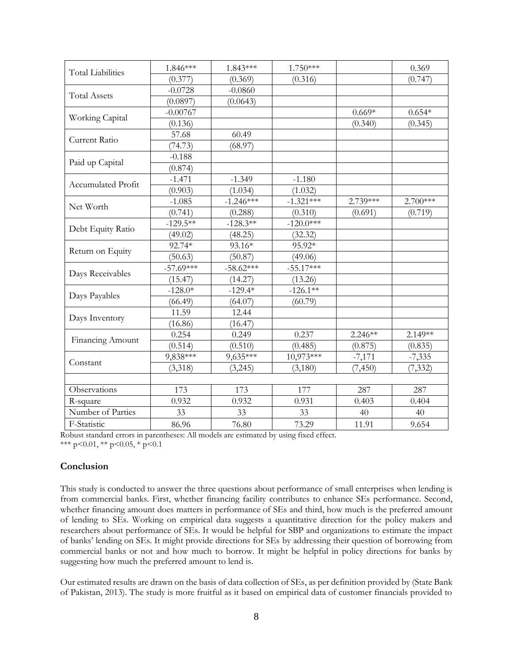| <b>Total Liabilities</b>  | 1.846***    | 1.843***    | 1.750***    |           | 0.369     |
|---------------------------|-------------|-------------|-------------|-----------|-----------|
|                           | (0.377)     | (0.369)     | (0.316)     |           | (0.747)   |
| <b>Total Assets</b>       | $-0.0728$   | $-0.0860$   |             |           |           |
|                           | (0.0897)    | (0.0643)    |             |           |           |
|                           | $-0.00767$  |             |             | $0.669*$  | $0.654*$  |
| Working Capital           | (0.136)     |             |             | (0.340)   | (0.345)   |
| Current Ratio             | 57.68       | 60.49       |             |           |           |
|                           | (74.73)     | (68.97)     |             |           |           |
|                           | $-0.188$    |             |             |           |           |
| Paid up Capital           | (0.874)     |             |             |           |           |
| <b>Accumulated Profit</b> | $-1.471$    | $-1.349$    | $-1.180$    |           |           |
|                           | (0.903)     | (1.034)     | (1.032)     |           |           |
| Net Worth                 | $-1.085$    | $-1.246***$ | $-1.321***$ | 2.739***  | 2.700***  |
|                           | (0.741)     | (0.288)     | (0.310)     | (0.691)   | (0.719)   |
|                           | $-129.5***$ | $-128.3**$  | $-120.0***$ |           |           |
| Debt Equity Ratio         | (49.02)     | (48.25)     | (32.32)     |           |           |
|                           | 92.74*      | 93.16*      | 95.92*      |           |           |
| Return on Equity          | (50.63)     | (50.87)     | (49.06)     |           |           |
|                           | $-57.69***$ | $-58.62***$ | $-55.17***$ |           |           |
| Days Receivables          | (15.47)     | (14.27)     | (13.26)     |           |           |
|                           | $-128.0*$   | $-129.4*$   | $-126.1**$  |           |           |
| Days Payables             | (66.49)     | (64.07)     | (60.79)     |           |           |
| Days Inventory            | 11.59       | 12.44       |             |           |           |
|                           | (16.86)     | (16.47)     |             |           |           |
| Financing Amount          | 0.254       | 0.249       | 0.237       | $2.246**$ | $2.149**$ |
|                           | (0.514)     | (0.510)     | (0.485)     | (0.875)   | (0.835)   |
|                           | 9,838***    | 9,635***    | $10,973***$ | $-7,171$  | $-7,335$  |
| Constant                  | (3,318)     | (3,245)     | (3,180)     | (7, 450)  | (7, 332)  |
|                           |             |             |             |           |           |
| Observations              | 173         | 173         | 177         | 287       | 287       |
| R-square                  | 0.932       | 0.932       | 0.931       | 0.403     | 0.404     |
| Number of Parties         | 33          | 33          | 33          | 40        | 40        |
| F-Statistic               | 86.96       | 76.80       | 73.29       | 11.91     | 9.654     |
|                           |             |             |             |           |           |

Robust standard errors in parentheses: All models are estimated by using fixed effect. \*\*\* p<0.01, \*\* p<0.05, \* p<0.1

## **Conclusion**

This study is conducted to answer the three questions about performance of small enterprises when lending is from commercial banks. First, whether financing facility contributes to enhance SEs performance. Second, whether financing amount does matters in performance of SEs and third, how much is the preferred amount of lending to SEs. Working on empirical data suggests a quantitative direction for the policy makers and researchers about performance of SEs. It would be helpful for SBP and organizations to estimate the impact of banks' lending on SEs. It might provide directions for SEs by addressing their question of borrowing from commercial banks or not and how much to borrow. It might be helpful in policy directions for banks by suggesting how much the preferred amount to lend is.

Our estimated results are drawn on the basis of data collection of SEs, as per definition provided by (State Bank of Pakistan, 2013). The study is more fruitful as it based on empirical data of customer financials provided to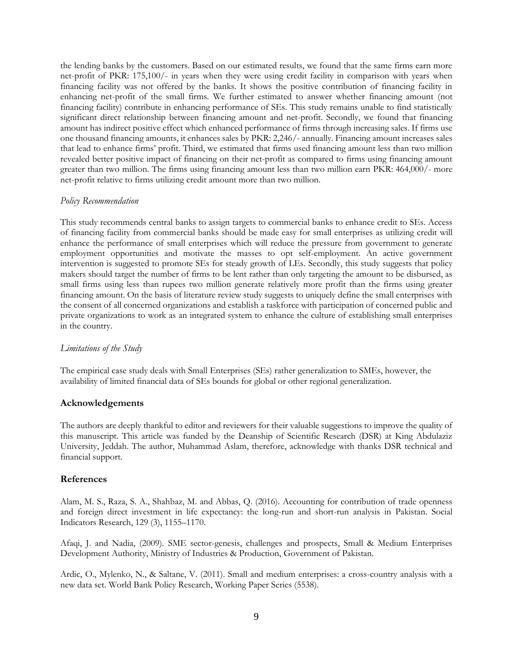the lending banks by the customers. Based on our estimated results, we found that the same firms earn more net-profit of PKR: 175,100/- in years when they were using credit facility in comparison with years when financing facility was not offered by the banks. It shows the positive contribution of financing facility in enhancing net-profit of the small firms. We further estimated to answer whether financing amount (not financing facility) contribute in enhancing performance of SEs. This study remains unable to find statistically significant direct relationship between financing amount and net-profit. Secondly, we found that financing amount has indirect positive effect which enhanced performance of firms through increasing sales. If firms use one thousand financing amounts, it enhances sales by PKR: 2,246/- annually. Financing amount increases sales that lead to enhance firms' profit. Third, we estimated that firms used financing amount less than two million revealed better positive impact of financing on their net-profit as compared to firms using financing amount greater than two million. The firms using financing amount less than two million earn PKR: 464,000/- more net-profit relative to firms utilizing credit amount more than two million.

#### *Policy Recommendation*

This study recommends central banks to assign targets to commercial banks to enhance credit to SEs. Access of financing facility from commercial banks should be made easy for small enterprises as utilizing credit will enhance the performance of small enterprises which will reduce the pressure from government to generate employment opportunities and motivate the masses to opt self-employment. An active government intervention is suggested to promote SEs for steady growth of LEs. Secondly, this study suggests that policy makers should target the number of firms to be lent rather than only targeting the amount to be disbursed, as small firms using less than rupees two million generate relatively more profit than the firms using greater financing amount. On the basis of literature review study suggests to uniquely define the small enterprises with the consent of all concerned organizations and establish a taskforce with participation of concerned public and private organizations to work as an integrated system to enhance the culture of establishing small enterprises in the country.

## *Limitations of the Study*

The empirical case study deals with Small Enterprises (SEs) rather generalization to SMEs, however, the availability of limited financial data of SEs bounds for global or other regional generalization.

## **Acknowledgements**

The authors are deeply thankful to editor and reviewers for their valuable suggestions to improve the quality of this manuscript. This article was funded by the Deanship of Scientific Research (DSR) at King Abdulaziz University, Jeddah. The author, Muhammad Aslam, therefore, acknowledge with thanks DSR technical and financial support.

## **References**

Alam, M. S., Raza, S. A., Shahbaz, M. and Abbas, Q. (2016). Accounting for contribution of trade openness and foreign direct investment in life expectancy: the long-run and short-run analysis in Pakistan. Social Indicators Research, 129 (3), 1155–1170.

Afaqi, J. and Nadia, (2009). SME sector-genesis, challenges and prospects, Small & Medium Enterprises Development Authority, Ministry of Industries & Production, Government of Pakistan.

Ardic, O., Mylenko, N., & Saltane, V. (2011). Small and medium enterprises: a cross-country analysis with a new data set. World Bank Policy Research, Working Paper Series (5538).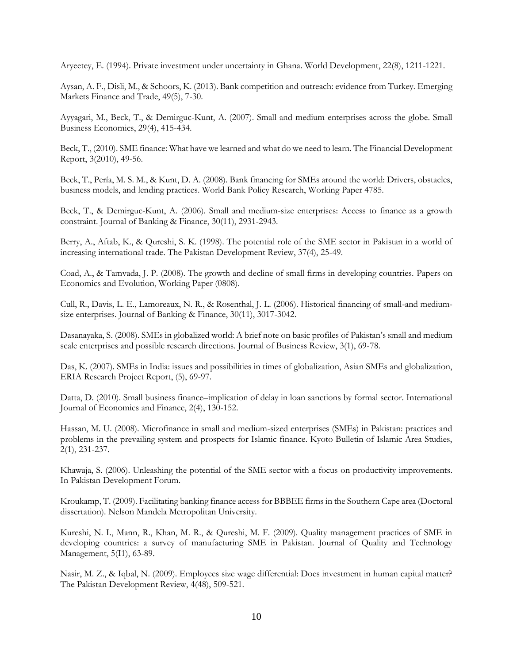Aryeetey, E. (1994). Private investment under uncertainty in Ghana. World Development, 22(8), 1211-1221.

Aysan, A. F., Disli, M., & Schoors, K. (2013). Bank competition and outreach: evidence from Turkey. Emerging Markets Finance and Trade, 49(5), 7-30.

Ayyagari, M., Beck, T., & Demirguc-Kunt, A. (2007). Small and medium enterprises across the globe. Small Business Economics, 29(4), 415-434.

Beck, T., (2010). SME finance: What have we learned and what do we need to learn. The Financial Development Report, 3(2010), 49-56.

Beck, T., Pería, M. S. M., & Kunt, D. A. (2008). Bank financing for SMEs around the world: Drivers, obstacles, business models, and lending practices. World Bank Policy Research, Working Paper 4785.

Beck, T., & Demirguc-Kunt, A. (2006). Small and medium-size enterprises: Access to finance as a growth constraint. Journal of Banking & Finance, 30(11), 2931-2943.

Berry, A., Aftab, K., & Qureshi, S. K. (1998). The potential role of the SME sector in Pakistan in a world of increasing international trade. The Pakistan Development Review, 37(4), 25-49.

Coad, A., & Tamvada, J. P. (2008). The growth and decline of small firms in developing countries. Papers on Economics and Evolution, Working Paper (0808).

Cull, R., Davis, L. E., Lamoreaux, N. R., & Rosenthal, J. L. (2006). Historical financing of small-and mediumsize enterprises. Journal of Banking & Finance, 30(11), 3017-3042.

Dasanayaka, S. (2008). SMEs in globalized world: A brief note on basic profiles of Pakistan's small and medium scale enterprises and possible research directions. Journal of Business Review, 3(1), 69-78.

Das, K. (2007). SMEs in India: issues and possibilities in times of globalization, Asian SMEs and globalization, ERIA Research Project Report, (5), 69-97.

Datta, D. (2010). Small business finance–implication of delay in loan sanctions by formal sector. International Journal of Economics and Finance, 2(4), 130-152.

Hassan, M. U. (2008). Microfinance in small and medium-sized enterprises (SMEs) in Pakistan: practices and problems in the prevailing system and prospects for Islamic finance. Kyoto Bulletin of Islamic Area Studies, 2(1), 231-237.

Khawaja, S. (2006). Unleashing the potential of the SME sector with a focus on productivity improvements. In Pakistan Development Forum.

Kroukamp, T. (2009). Facilitating banking finance access for BBBEE firms in the Southern Cape area (Doctoral dissertation). [Nelson Mandela Metropolitan University.](http://www.nmmu.ac.za/)

Kureshi, N. I., Mann, R., Khan, M. R., & Qureshi, M. F. (2009). Quality management practices of SME in developing countries: a survey of manufacturing SME in Pakistan. Journal of Quality and Technology Management, 5(I1), 63-89.

Nasir, M. Z., & Iqbal, N. (2009). Employees size wage differential: Does investment in human capital matter? The Pakistan Development Review, 4(48), 509-521.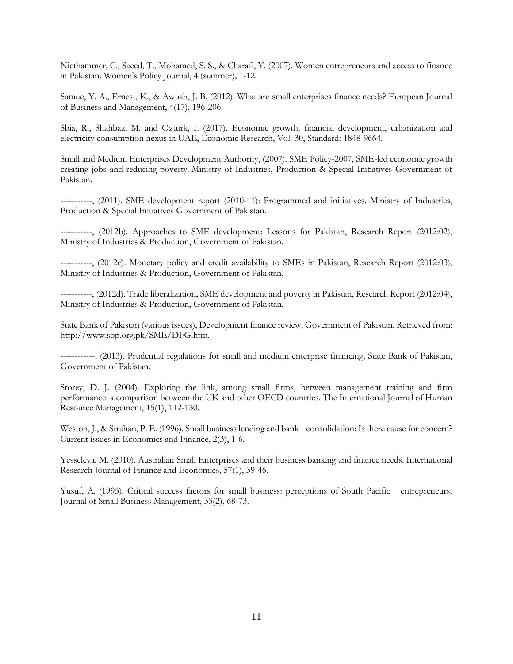Niethammer, C., Saeed, T., Mohamed, S. S., & Charafi, Y. (2007). Women entrepreneurs and access to finance in Pakistan. Women's Policy Journal, 4 (summer), 1-12.

Samue, Y. A., Ernest, K., & Awuah, J. B. (2012). What are small enterprises finance needs? European Journal of Business and Management, 4(17), 196-206.

Sbia, R., Shahbaz, M. and Ozturk, I. (2017). Economic growth, financial development, urbanization and electricity consumption nexus in UAE, Economic Research, Vol: 30, Standard: 1848-9664.

Small and Medium Enterprises Development Authority, (2007). SME Policy-2007, SME-led economic growth creating jobs and reducing poverty. Ministry of Industries, Production & Special Initiatives Government of Pakistan.

-----------, (2011). SME development report (2010-11): Programmed and initiatives. Ministry of Industries, Production & Special Initiatives Government of Pakistan.

-----------, (2012b). Approaches to SME development: Lessons for Pakistan, Research Report (2012:02), Ministry of Industries & Production, Government of Pakistan.

-----------, (2012c). Monetary policy and credit availability to SMEs in Pakistan, Research Report (2012:03), Ministry of Industries & Production, Government of Pakistan.

-----------, (2012d). Trade liberalization, SME development and poverty in Pakistan, Research Report (2012:04), Ministry of Industries & Production, Government of Pakistan.

State Bank of Pakistan (various issues), Development finance review, Government of Pakistan. Retrieved from: http://www.sbp.org.pk/SME/DFG.htm.

------------, (2013). Prudential regulations for small and medium enterprise financing, State Bank of Pakistan, Government of Pakistan.

Storey, D. J. (2004). Exploring the link, among small firms, between management training and firm performance: a comparison between the UK and other OECD countries. The International Journal of Human Resource Management, 15(1), 112-130.

Weston, J., & Strahan, P. E. (1996). Small business lending and bank consolidation: Is there cause for concern? Current issues in Economics and Finance, 2(3), 1-6.

Yesseleva, M. (2010). Australian Small Enterprises and their business banking and finance needs. International Research Journal of Finance and Economics, 57(1), 39-46.

Yusuf, A. (1995). Critical success factors for small business: perceptions of South Pacific entrepreneurs. Journal of Small Business Management, 33(2), 68-73.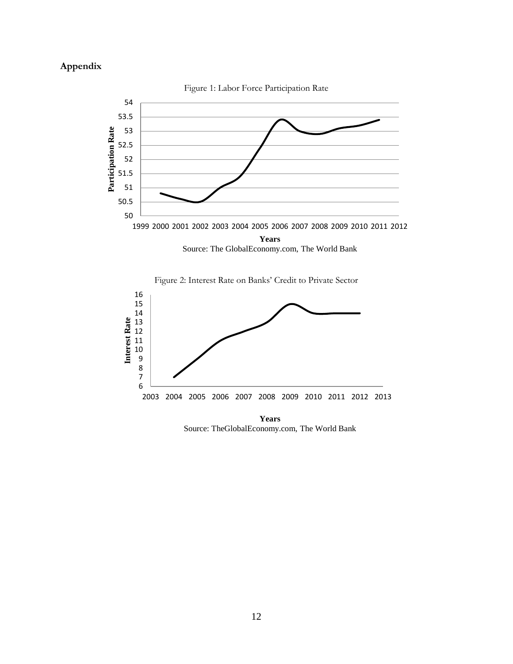# **Appendix**







**Years** Source: TheGlobalEconomy.com, The World Bank